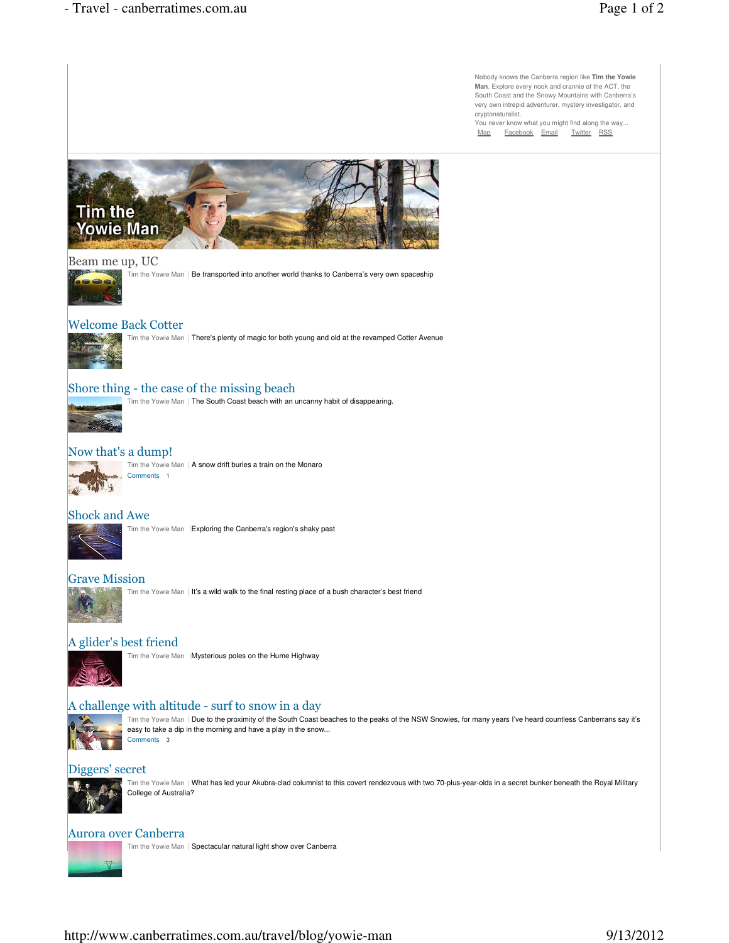Nobody knows the Canberra region like **Tim the Yowie Man**. Explore every nook and crannie of the ACT, the South Coast and the Snowy Mountains with Canberra's very own intrepid adventurer, mystery investigator, and cryptonaturalist.

You never know what you might find along the way... Map Facebook Email Twitter RSS



#### Beam me up, UC



Tim the Yowie Man | Be transported into another world thanks to Canberra's very own spaceship

# Welcome Back Cotter



Tim the Yowie Man | There's plenty of magic for both young and old at the revamped Cotter Avenue

## Shore thing - the case of the missing beach

Tim the Yowie Man | The South Coast beach with an uncanny habit of disappearing.

## Now that's a dump!



Tim the Yowie Man | A snow drift buries a train on the Monaro Comments 1

#### Shock and Awe



### Grave Mission

Tim the Yowie Man | It's a wild walk to the final resting place of a bush character's best friend

## A glider's best friend



Tim the Yowie Man | Mysterious poles on the Hume Highway

### A challenge with altitude - surf to snow in a day



Tim the Yowie Man | Due to the proximity of the South Coast beaches to the peaks of the NSW Snowies, for many years I've heard countless Canberrans say it's easy to take a dip in the morning and have a play in the snow... Comments 3

#### Diggers' secret



Tim the Yowie Man | What has led your Akubra-clad columnist to this covert rendezvous with two 70-plus-year-olds in a secret bunker beneath the Royal Military College of Australia?

#### Aurora over Canberra

Tim the Yowie Man | Spectacular natural light show over Canberra

## http://www.canberratimes.com.au/travel/blog/yowie-man 9/13/2012